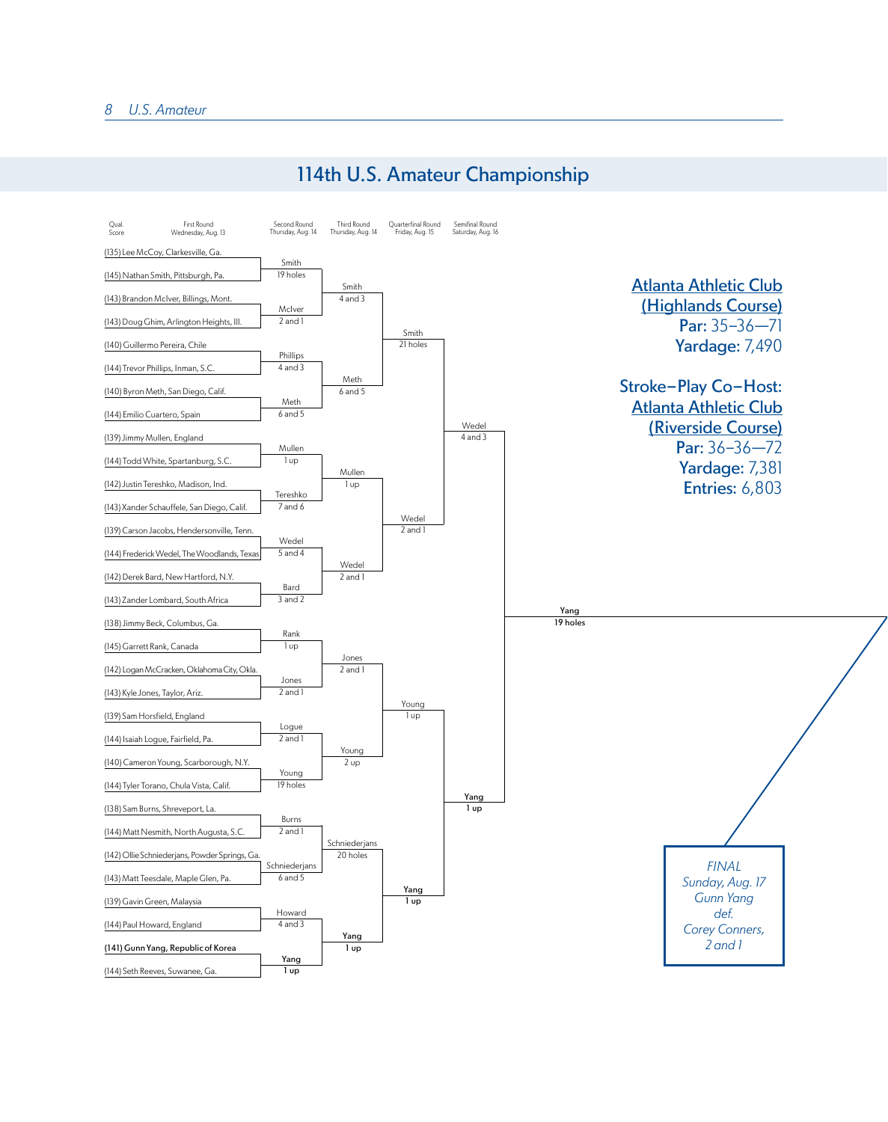

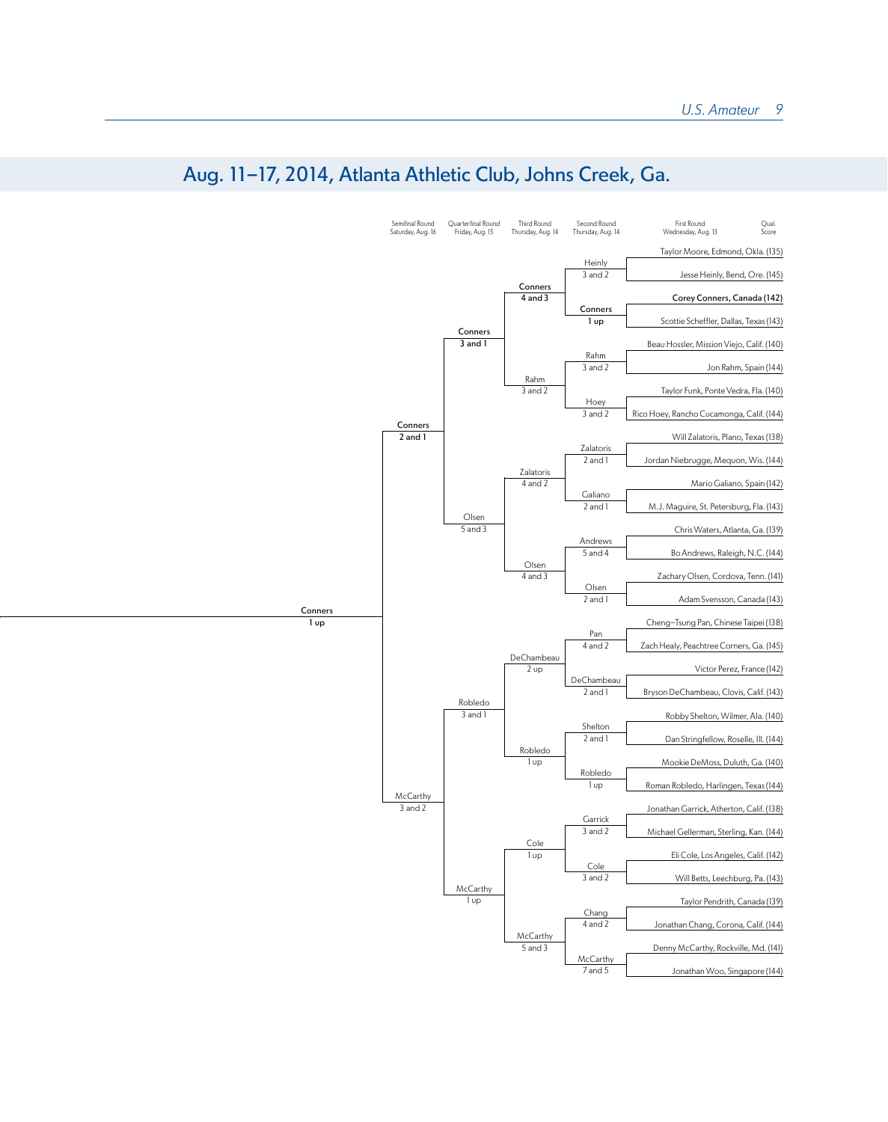

## Aug. 11-17, 2014, Atlanta Athletic Club, Johns Creek, Ga.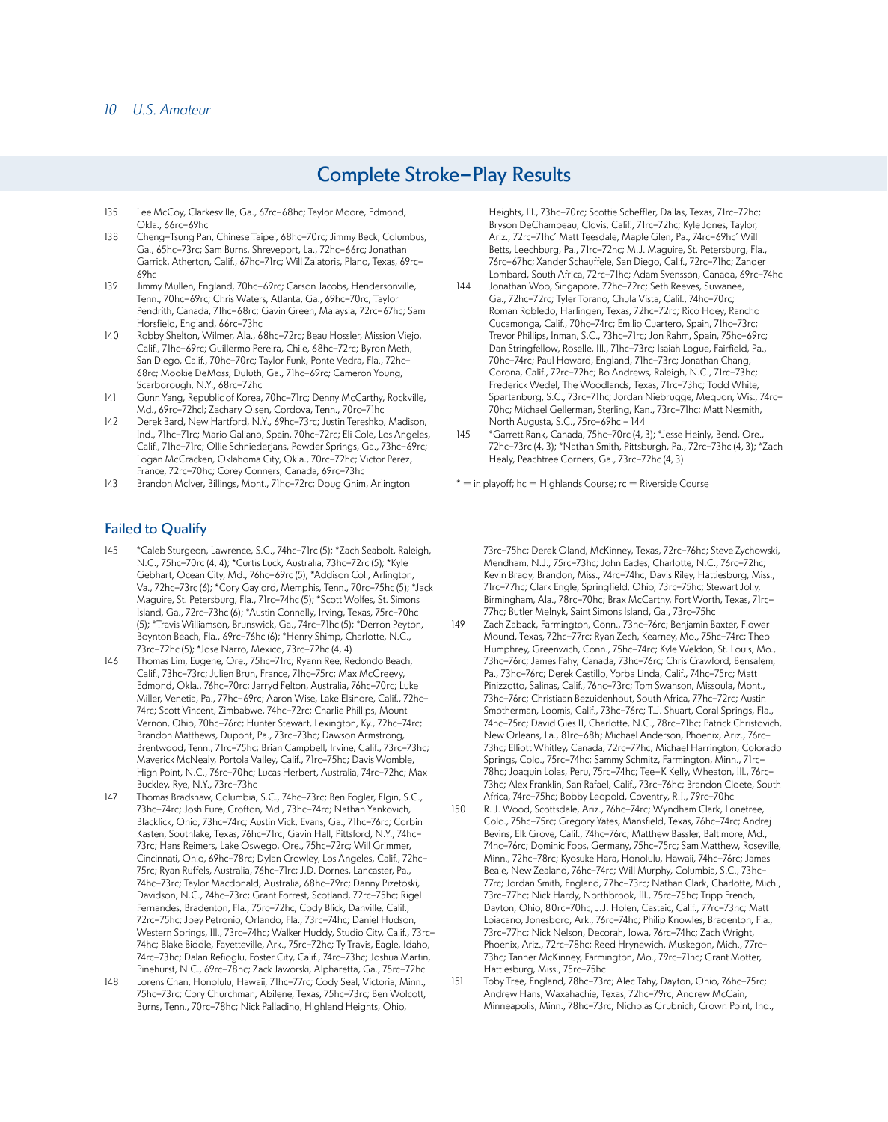## Complete Stroke-Play Results

- 135 Lee McCoy, Clarkesville, Ga., 67rc-68hc; Taylor Moore, Edmond, Okla., 66rc-69hc
- 138 Cheng-Tsung Pan, Chinese Taipei, 68hc-70rc; Jimmy Beck, Columbus, Ga., 65hc-73rc; Sam Burns, Shreveport, La., 72hc-66rc; Jonathan Garrick, Atherton, Calif., 67hc-71rc; Will Zalatoris, Plano, Texas, 69rc-69hc
- 139 Jimmy Mullen, England, 70hc-69rc; Carson Jacobs, Hendersonville, Tenn., 70hc-69rc; Chris Waters, Atlanta, Ga., 69hc-70rc; Taylor Pendrith, Canada, 71hc-68rc; Gavin Green, Malaysia, 72rc-67hc; Sam Horsfield, England, 66rc-73hc
- 140 Robby Shelton, Wilmer, Ala., 68hc-72rc; Beau Hossler, Mission Viejo, Calif., 71hc-69rc; Guillermo Pereira, Chile, 68hc-72rc; Byron Meth, San Diego, Calif., 70hc-70rc; Taylor Funk, Ponte Vedra, Fla., 72hc-68rc; Mookie DeMoss, Duluth, Ga., 71hc-69rc; Cameron Young, Scarborough, N.Y., 68rc-72hc
- 141 Gunn Yang, Republic of Korea, 70hc-71rc; Denny McCarthy, Rockville, Md., 69rc-72hcl; Zachary Olsen, Cordova, Tenn., 70rc-71hc
- 142 Derek Bard, New Hartford, N.Y., 69hc-73rc; Justin Tereshko, Madison, Ind., 71hc-71rc; Mario Galiano, Spain, 70hc-72rc; Eli Cole, Los Angeles, Calif., 71hc-71rc; Ollie Schniederjans, Powder Springs, Ga., 73hc-69rc; Logan McCracken, Oklahoma City, Okla., 70rc-72hc; Victor Perez, France, 72rc-70hc; Corey Conners, Canada, 69rc-73hc
- 143 Brandon McIver, Billings, Mont., 71hc-72rc; Doug Ghim, Arlington

Heights, Ill., 73hc-70rc; Scottie Scheffler, Dallas, Texas, 71rc-72hc; Bryson DeChambeau, Clovis, Calif., 71rc-72hc; Kyle Jones, Taylor, Ariz., 72rc-71hc' Matt Teesdale, Maple Glen, Pa., 74rc-69hc' Will Betts, Leechburg, Pa., 71rc-72hc; M.J. Maguire, St. Petersburg, Fla., 76rc-67hc; Xander Schauffele, San Diego, Calif., 72rc-71hc; Zander Lombard, South Africa, 72rc-71hc; Adam Svensson, Canada, 69rc-74hc

- 144 Jonathan Woo, Singapore, 72hc-72rc; Seth Reeves, Suwanee, Ga., 72hc-72rc; Tyler Torano, Chula Vista, Calif., 74hc-70rc; Roman Robledo, Harlingen, Texas, 72hc-72rc; Rico Hoey, Rancho Cucamonga, Calif., 70hc-74rc; Emilio Cuartero, Spain, 71hc-73rc; Trevor Phillips, Inman, S.C., 73hc-71rc; Jon Rahm, Spain, 75hc-69rc; Dan Stringfellow, Roselle, Ill., 71hc-73rc; Isaiah Logue, Fairfield, Pa., 70hc-74rc; Paul Howard, England, 71hc-73rc; Jonathan Chang, Corona, Calif., 72rc-72hc; Bo Andrews, Raleigh, N.C., 71rc-73hc; Frederick Wedel, The Woodlands, Texas, 71rc-73hc; Todd White, Spartanburg, S.C., 73rc-71hc; Jordan Niebrugge, Mequon, Wis., 74rc-70hc; Michael Gellerman, Sterling, Kan., 73rc-71hc; Matt Nesmith, North Augusta, S.C., 75rc-69hc – 144
- 145 \*Garrett Rank, Canada, 75hc-70rc (4, 3); \*Jesse Heinly, Bend, Ore., 72hc-73rc (4, 3); \*Nathan Smith, Pittsburgh, Pa., 72rc-73hc (4, 3); \*Zach Healy, Peachtree Corners, Ga., 73rc-72hc (4, 3)
- $* =$  in playoff; hc = Highlands Course; rc = Riverside Course

## Failed to Qualify

- 145 \*Caleb Sturgeon, Lawrence, S.C., 74hc-71rc (5); \*Zach Seabolt, Raleigh, N.C., 75hc-70rc (4, 4); \*Curtis Luck, Australia, 73hc-72rc (5); \*Kyle Gebhart, Ocean City, Md., 76hc-69rc (5); \*Addison Coll, Arlington, Va., 72hc-73rc (6); \*Cory Gaylord, Memphis, Tenn., 70rc-75hc (5); \*Jack Maguire, St. Petersburg, Fla., 71rc-74hc (5); \*Scott Wolfes, St. Simons Island, Ga., 72rc-73hc (6); \*Austin Connelly, Irving, Texas, 75rc-70hc (5); \*Travis Williamson, Brunswick, Ga., 74rc-71hc (5); \*Derron Peyton, Boynton Beach, Fla., 69rc-76hc (6); \*Henry Shimp, Charlotte, N.C., 73rc-72hc (5); \*Jose Narro, Mexico, 73rc-72hc (4, 4)
- 146 Thomas Lim, Eugene, Ore., 75hc-71rc; Ryann Ree, Redondo Beach, Calif., 73hc-73rc; Julien Brun, France, 71hc-75rc; Max McGreevy, Edmond, Okla., 76hc-70rc; Jarryd Felton, Australia, 76hc-70rc; Luke Miller, Venetia, Pa., 77hc-69rc; Aaron Wise, Lake Elsinore, Calif., 72hc-74rc; Scott Vincent, Zimbabwe, 74hc-72rc; Charlie Phillips, Mount Vernon, Ohio, 70hc-76rc; Hunter Stewart, Lexington, Ky., 72hc-74rc; Brandon Matthews, Dupont, Pa., 73rc-73hc; Dawson Armstrong, Brentwood, Tenn., 71rc-75hc; Brian Campbell, Irvine, Calif., 73rc-73hc; Maverick McNealy, Portola Valley, Calif., 71rc-75hc; Davis Womble, High Point, N.C., 76rc-70hc; Lucas Herbert, Australia, 74rc-72hc; Max Buckley, Rye, N.Y., 73rc-73hc
- 147 Thomas Bradshaw, Columbia, S.C., 74hc-73rc; Ben Fogler, Elgin, S.C., 73hc-74rc; Josh Eure, Crofton, Md., 73hc-74rc; Nathan Yankovich, Blacklick, Ohio, 73hc-74rc; Austin Vick, Evans, Ga., 71hc-76rc; Corbin Kasten, Southlake, Texas, 76hc-71rc; Gavin Hall, Pittsford, N.Y., 74hc-73rc; Hans Reimers, Lake Oswego, Ore., 75hc-72rc; Will Grimmer, Cincinnati, Ohio, 69hc-78rc; Dylan Crowley, Los Angeles, Calif., 72hc-75rc; Ryan Ruffels, Australia, 76hc-71rc; J.D. Dornes, Lancaster, Pa., 74hc-73rc; Taylor Macdonald, Australia, 68hc-79rc; Danny Pizetoski, Davidson, N.C., 74hc-73rc; Grant Forrest, Scotland, 72rc-75hc; Rigel Fernandes, Bradenton, Fla., 75rc-72hc; Cody Blick, Danville, Calif., 72rc-75hc; Joey Petronio, Orlando, Fla., 73rc-74hc; Daniel Hudson, Western Springs, Ill., 73rc-74hc; Walker Huddy, Studio City, Calif., 73rc-74hc; Blake Biddle, Fayetteville, Ark., 75rc-72hc; Ty Travis, Eagle, Idaho, 74rc-73hc; Dalan Refioglu, Foster City, Calif., 74rc-73hc; Joshua Martin, Pinehurst, N.C., 69rc-78hc; Zack Jaworski, Alpharetta, Ga., 75rc-72hc
- 148 Lorens Chan, Honolulu, Hawaii, 71hc-77rc; Cody Seal, Victoria, Minn., 75hc-73rc; Cory Churchman, Abilene, Texas, 75hc-73rc; Ben Wolcott, Burns, Tenn., 70rc-78hc; Nick Palladino, Highland Heights, Ohio,

73rc-75hc; Derek Oland, McKinney, Texas, 72rc-76hc; Steve Zychowski, Mendham, N.J., 75rc-73hc; John Eades, Charlotte, N.C., 76rc-72hc; Kevin Brady, Brandon, Miss., 74rc-74hc; Davis Riley, Hattiesburg, Miss., 71rc-77hc; Clark Engle, Springfield, Ohio, 73rc-75hc; Stewart Jolly, Birmingham, Ala., 78rc-70hc; Brax McCarthy, Fort Worth, Texas, 71rc-77hc; Butler Melnyk, Saint Simons Island, Ga., 73rc-75hc

- 149 Zach Zaback, Farmington, Conn., 73hc-76rc; Benjamin Baxter, Flower Mound, Texas, 72hc-77rc; Ryan Zech, Kearney, Mo., 75hc-74rc; Theo Humphrey, Greenwich, Conn., 75hc-74rc; Kyle Weldon, St. Louis, Mo., 73hc-76rc; James Fahy, Canada, 73hc-76rc; Chris Crawford, Bensalem, Pa., 73hc-76rc; Derek Castillo, Yorba Linda, Calif., 74hc-75rc; Matt Pinizzotto, Salinas, Calif., 76hc-73rc; Tom Swanson, Missoula, Mont., 73hc-76rc; Christiaan Bezuidenhout, South Africa, 77hc-72rc; Austin Smotherman, Loomis, Calif., 73hc-76rc; T.J. Shuart, Coral Springs, Fla., 74hc-75rc; David Gies II, Charlotte, N.C., 78rc-71hc; Patrick Christovich, New Orleans, La., 81rc-68h; Michael Anderson, Phoenix, Ariz., 76rc-73hc; Elliott Whitley, Canada, 72rc-77hc; Michael Harrington, Colorado Springs, Colo., 75rc-74hc; Sammy Schmitz, Farmington, Minn., 71rc-78hc; Joaquin Lolas, Peru, 75rc-74hc; Tee-K Kelly, Wheaton, Ill., 76rc-73hc; Alex Franklin, San Rafael, Calif., 73rc-76hc; Brandon Cloete, South Africa, 74rc-75hc; Bobby Leopold, Coventry, R.I., 79rc-70hc
- 150 R. J. Wood, Scottsdale, Ariz., 76hc-74rc; Wyndham Clark, Lonetree, Colo., 75hc-75rc; Gregory Yates, Mansfield, Texas, 76hc-74rc; Andrej Bevins, Elk Grove, Calif., 74hc-76rc; Matthew Bassler, Baltimore, Md., 74hc-76rc; Dominic Foos, Germany, 75hc-75rc; Sam Matthew, Roseville, Minn., 72hc-78rc; Kyosuke Hara, Honolulu, Hawaii, 74hc-76rc; James Beale, New Zealand, 76hc-74rc; Will Murphy, Columbia, S.C., 73hc-77rc; Jordan Smith, England, 77hc-73rc; Nathan Clark, Charlotte, Mich., 73rc-77hc; Nick Hardy, Northbrook, Ill., 75rc-75hc; Tripp French, Dayton, Ohio, 80rc-70hc; J.J. Holen, Castaic, Calif., 77rc-73hc; Matt Loiacano, Jonesboro, Ark., 76rc-74hc; Philip Knowles, Bradenton, Fla., 73rc-77hc; Nick Nelson, Decorah, Iowa, 76rc-74hc; Zach Wright, Phoenix, Ariz., 72rc-78hc; Reed Hrynewich, Muskegon, Mich., 77rc-73hc; Tanner McKinney, Farmington, Mo., 79rc-71hc; Grant Motter, Hattiesburg, Miss., 75rc-75hc

151 Toby Tree, England, 78hc-73rc; Alec Tahy, Dayton, Ohio, 76hc-75rc; Andrew Hans, Waxahachie, Texas, 72hc-79rc; Andrew McCain, Minneapolis, Minn., 78hc-73rc; Nicholas Grubnich, Crown Point, Ind.,